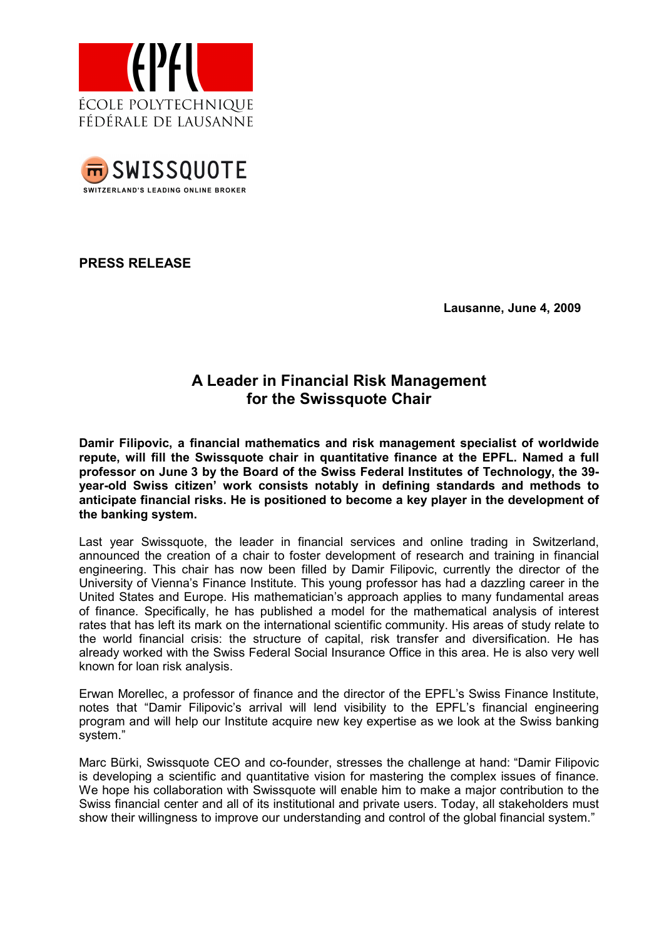



PRESS RELEASE

Lausanne, June 4, 2009

## A Leader in Financial Risk Management for the Swissquote Chair

Damir Filipovic, a financial mathematics and risk management specialist of worldwide repute, will fill the Swissquote chair in quantitative finance at the EPFL. Named a full professor on June 3 by the Board of the Swiss Federal Institutes of Technology, the 39 year-old Swiss citizen' work consists notably in defining standards and methods to anticipate financial risks. He is positioned to become a key player in the development of the banking system.

Last year Swissquote, the leader in financial services and online trading in Switzerland, announced the creation of a chair to foster development of research and training in financial engineering. This chair has now been filled by Damir Filipovic, currently the director of the University of Vienna's Finance Institute. This young professor has had a dazzling career in the United States and Europe. His mathematician's approach applies to many fundamental areas of finance. Specifically, he has published a model for the mathematical analysis of interest rates that has left its mark on the international scientific community. His areas of study relate to the world financial crisis: the structure of capital, risk transfer and diversification. He has already worked with the Swiss Federal Social Insurance Office in this area. He is also very well known for loan risk analysis.

Erwan Morellec, a professor of finance and the director of the EPFL's Swiss Finance Institute, notes that "Damir Filipovic's arrival will lend visibility to the EPFL's financial engineering program and will help our Institute acquire new key expertise as we look at the Swiss banking system."

Marc Bürki, Swissquote CEO and co-founder, stresses the challenge at hand: "Damir Filipovic is developing a scientific and quantitative vision for mastering the complex issues of finance. We hope his collaboration with Swissquote will enable him to make a major contribution to the Swiss financial center and all of its institutional and private users. Today, all stakeholders must show their willingness to improve our understanding and control of the global financial system."